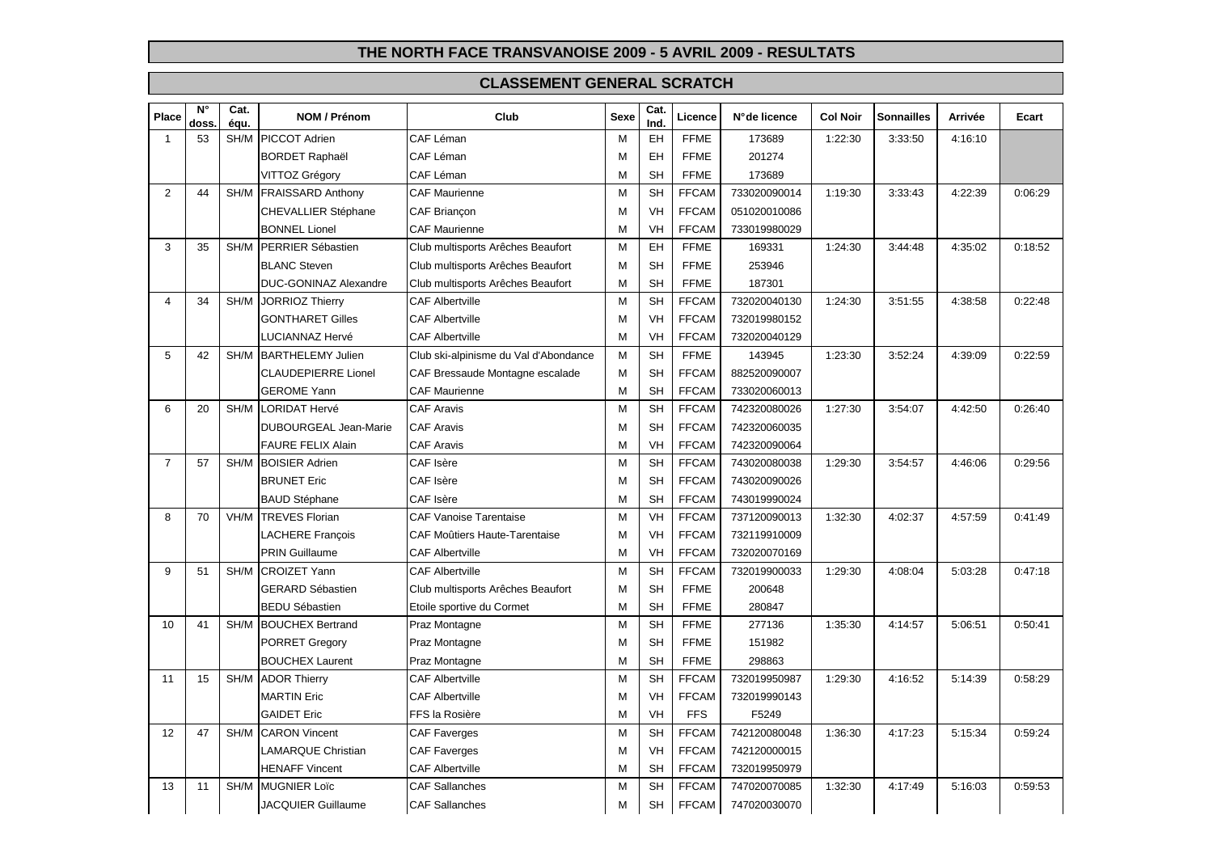| Place          | $\overline{\mathsf{N}^\circ}$<br>doss | Cat.<br>équ. | NOM / Prénom               | Club                                  | Sexe | Cat.<br>Ind. | Licence      | N°de licence | <b>Col Noir</b> | Sonnailles | Arrivée | Ecart   |
|----------------|---------------------------------------|--------------|----------------------------|---------------------------------------|------|--------------|--------------|--------------|-----------------|------------|---------|---------|
| $\mathbf{1}$   | 53                                    |              | SH/M PICCOT Adrien         | CAF Léman                             | M    | EH           | <b>FFME</b>  | 173689       | 1:22:30         | 3:33:50    | 4:16:10 |         |
|                |                                       |              | <b>BORDET Raphaël</b>      | CAF Léman                             | M    | EH           | <b>FFME</b>  | 201274       |                 |            |         |         |
|                |                                       |              | VITTOZ Grégory             | CAF Léman                             | M    | <b>SH</b>    | <b>FFME</b>  | 173689       |                 |            |         |         |
| $\overline{2}$ | 44                                    |              | SH/M FRAISSARD Anthony     | <b>CAF Maurienne</b>                  | M    | <b>SH</b>    | <b>FFCAM</b> | 733020090014 | 1:19:30         | 3:33:43    | 4:22:39 | 0:06:29 |
|                |                                       |              | CHEVALLIER Stéphane        | <b>CAF Briancon</b>                   | M    | <b>VH</b>    | <b>FFCAM</b> | 051020010086 |                 |            |         |         |
|                |                                       |              | <b>BONNEL Lionel</b>       | <b>CAF Maurienne</b>                  | M    | VH           | <b>FFCAM</b> | 733019980029 |                 |            |         |         |
| 3              | 35                                    |              | SH/M PERRIER Sébastien     | Club multisports Arêches Beaufort     | M    | EH           | <b>FFME</b>  | 169331       | 1:24:30         | 3:44:48    | 4:35:02 | 0:18:52 |
|                |                                       |              | <b>BLANC Steven</b>        | Club multisports Arêches Beaufort     | M    | <b>SH</b>    | <b>FFME</b>  | 253946       |                 |            |         |         |
|                |                                       |              | DUC-GONINAZ Alexandre      | Club multisports Arêches Beaufort     | M    | <b>SH</b>    | <b>FFME</b>  | 187301       |                 |            |         |         |
| $\overline{4}$ | 34                                    |              | SH/M JORRIOZ Thierry       | <b>CAF Albertville</b>                | M    | <b>SH</b>    | <b>FFCAM</b> | 732020040130 | 1:24:30         | 3:51:55    | 4:38:58 | 0:22:48 |
|                |                                       |              | <b>GONTHARET Gilles</b>    | <b>CAF Albertville</b>                | M    | VH           | <b>FFCAM</b> | 732019980152 |                 |            |         |         |
|                |                                       |              | <b>LUCIANNAZ Hervé</b>     | <b>CAF Albertville</b>                | M    | <b>VH</b>    | <b>FFCAM</b> | 732020040129 |                 |            |         |         |
| 5              | 42                                    |              | SH/M BARTHELEMY Julien     | Club ski-alpinisme du Val d'Abondance | M    | <b>SH</b>    | <b>FFME</b>  | 143945       | 1:23:30         | 3:52:24    | 4:39:09 | 0:22:59 |
|                |                                       |              | <b>CLAUDEPIERRE Lionel</b> | CAF Bressaude Montagne escalade       | M    | <b>SH</b>    | <b>FFCAM</b> | 882520090007 |                 |            |         |         |
|                |                                       |              | <b>GEROME Yann</b>         | <b>CAF Maurienne</b>                  | M    | <b>SH</b>    | <b>FFCAM</b> | 733020060013 |                 |            |         |         |
| 6              | 20                                    | SH/M         | LORIDAT Hervé              | <b>CAF Aravis</b>                     | M    | <b>SH</b>    | <b>FFCAM</b> | 742320080026 | 1:27:30         | 3:54:07    | 4:42:50 | 0:26:40 |
|                |                                       |              | DUBOURGEAL Jean-Marie      | <b>CAF Aravis</b>                     | M    | <b>SH</b>    | <b>FFCAM</b> | 742320060035 |                 |            |         |         |
|                |                                       |              | <b>FAURE FELIX Alain</b>   | <b>CAF Aravis</b>                     | M    | VH           | <b>FFCAM</b> | 742320090064 |                 |            |         |         |
| $\overline{7}$ | 57                                    |              | SH/M BOISIER Adrien        | CAF Isère                             | M    | <b>SH</b>    | <b>FFCAM</b> | 743020080038 | 1:29:30         | 3:54:57    | 4:46:06 | 0:29:56 |
|                |                                       |              | <b>BRUNET Eric</b>         | CAF Isère                             | M    | <b>SH</b>    | <b>FFCAM</b> | 743020090026 |                 |            |         |         |
|                |                                       |              | <b>BAUD Stéphane</b>       | CAF Isère                             | M    | <b>SH</b>    | <b>FFCAM</b> | 743019990024 |                 |            |         |         |
| 8              | 70                                    |              | <b>VH/M TREVES Florian</b> | <b>CAF Vanoise Tarentaise</b>         | M    | VH           | <b>FFCAM</b> | 737120090013 | 1:32:30         | 4:02:37    | 4:57:59 | 0:41:49 |
|                |                                       |              | <b>LACHERE François</b>    | CAF Moûtiers Haute-Tarentaise         | M    | VH           | <b>FFCAM</b> | 732119910009 |                 |            |         |         |
|                |                                       |              | <b>PRIN Guillaume</b>      | <b>CAF Albertville</b>                | M    | VH           | <b>FFCAM</b> | 732020070169 |                 |            |         |         |
| 9              | 51                                    | SH/M         | <b>CROIZET Yann</b>        | <b>CAF Albertville</b>                | M    | <b>SH</b>    | <b>FFCAM</b> | 732019900033 | 1:29:30         | 4:08:04    | 5:03:28 | 0:47:18 |
|                |                                       |              | <b>GERARD Sébastien</b>    | Club multisports Arêches Beaufort     | M    | <b>SH</b>    | <b>FFME</b>  | 200648       |                 |            |         |         |
|                |                                       |              | <b>BEDU Sébastien</b>      | Etoile sportive du Cormet             | M    | <b>SH</b>    | <b>FFME</b>  | 280847       |                 |            |         |         |
| 10             | 41                                    |              | SH/M BOUCHEX Bertrand      | Praz Montagne                         | M    | <b>SH</b>    | <b>FFME</b>  | 277136       | 1:35:30         | 4:14:57    | 5:06:51 | 0:50:41 |
|                |                                       |              | <b>PORRET Gregory</b>      | Praz Montagne                         | M    | <b>SH</b>    | <b>FFME</b>  | 151982       |                 |            |         |         |
|                |                                       |              | <b>BOUCHEX Laurent</b>     | Praz Montagne                         | M    | <b>SH</b>    | <b>FFME</b>  | 298863       |                 |            |         |         |
| 11             | 15                                    | SH/M         | <b>ADOR Thierry</b>        | <b>CAF Albertville</b>                | M    | <b>SH</b>    | <b>FFCAM</b> | 732019950987 | 1:29:30         | 4:16:52    | 5:14:39 | 0:58:29 |
|                |                                       |              | <b>MARTIN Eric</b>         | CAF Albertville                       | M    | VH           | <b>FFCAM</b> | 732019990143 |                 |            |         |         |
|                |                                       |              | <b>GAIDET Eric</b>         | FFS la Rosière                        | M    | <b>VH</b>    | <b>FFS</b>   | F5249        |                 |            |         |         |
| 12             | 47                                    |              | SH/M CARON Vincent         | CAF Faverges                          | M    | <b>SH</b>    | <b>FFCAM</b> | 742120080048 | 1:36:30         | 4:17:23    | 5:15:34 | 0:59:24 |
|                |                                       |              | LAMARQUE Christian         | <b>CAF Faverges</b>                   | M    | VH           | <b>FFCAM</b> | 742120000015 |                 |            |         |         |
|                |                                       |              | <b>HENAFF Vincent</b>      | <b>CAF Albertville</b>                | M    | <b>SH</b>    | <b>FFCAM</b> | 732019950979 |                 |            |         |         |
| 13             | 11                                    |              | SH/M MUGNIER Loic          | <b>CAF Sallanches</b>                 | M    | <b>SH</b>    | <b>FFCAM</b> | 747020070085 | 1:32:30         | 4:17:49    | 5:16:03 | 0:59:53 |
|                |                                       |              | <b>JACQUIER Guillaume</b>  | <b>CAF Sallanches</b>                 | M    | <b>SH</b>    | <b>FFCAM</b> | 747020030070 |                 |            |         |         |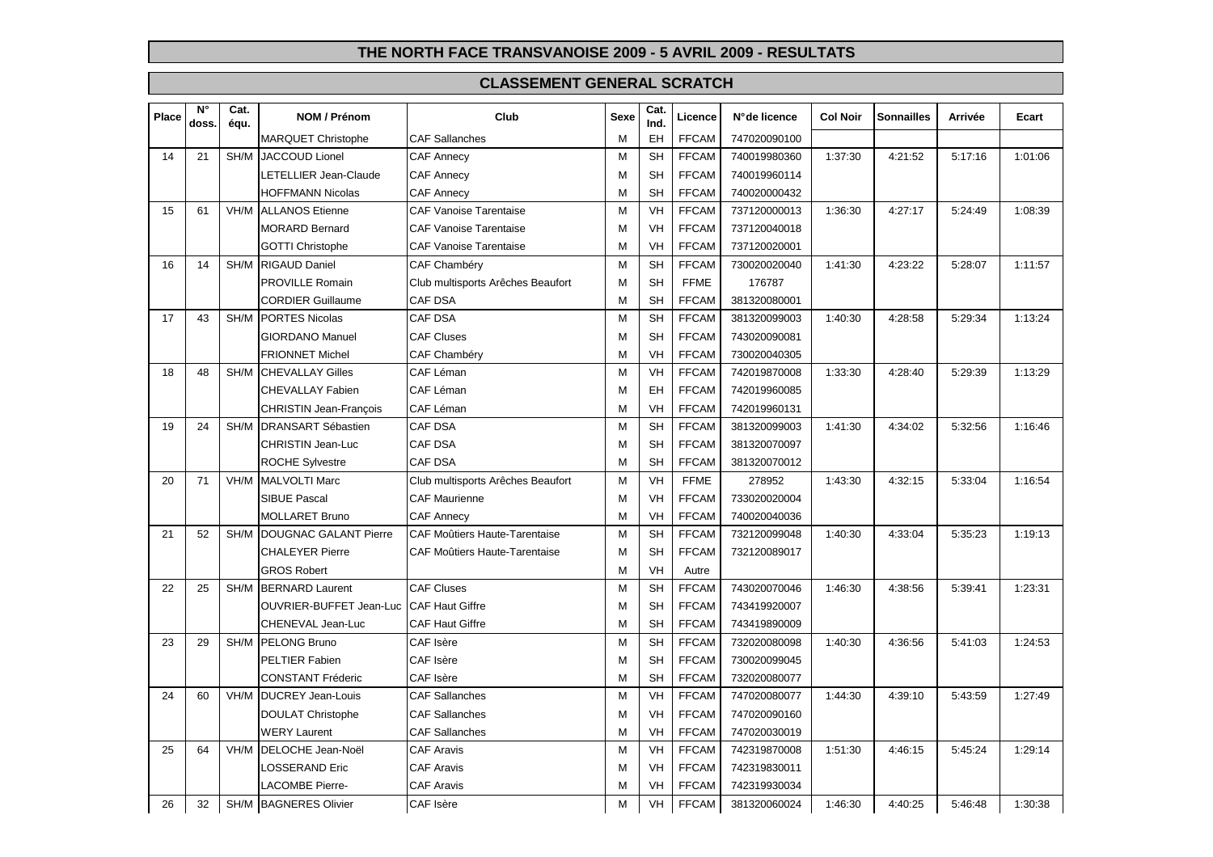| 14<br>21 |    |      |                                         |                                      |   | Ind.      |              |              |         |         |         |         |
|----------|----|------|-----------------------------------------|--------------------------------------|---|-----------|--------------|--------------|---------|---------|---------|---------|
|          |    |      | <b>MARQUET Christophe</b>               | <b>CAF Sallanches</b>                | M | EH        | <b>FFCAM</b> | 747020090100 |         |         |         |         |
|          |    |      | <b>SH/M IJACCOUD Lionel</b>             | <b>CAF Annecy</b>                    | M | <b>SH</b> | <b>FFCAM</b> | 740019980360 | 1:37:30 | 4:21:52 | 5:17:16 | 1:01:06 |
|          |    |      | LETELLIER Jean-Claude                   | <b>CAF Annecy</b>                    | M | <b>SH</b> | <b>FFCAM</b> | 740019960114 |         |         |         |         |
|          |    |      | <b>HOFFMANN Nicolas</b>                 | <b>CAF Annecy</b>                    | M | <b>SH</b> | <b>FFCAM</b> | 740020000432 |         |         |         |         |
| 15       | 61 |      | VH/M ALLANOS Etienne                    | <b>CAF Vanoise Tarentaise</b>        | M | VH        | <b>FFCAM</b> | 737120000013 | 1:36:30 | 4:27:17 | 5:24:49 | 1:08:39 |
|          |    |      | <b>MORARD Bernard</b>                   | <b>CAF Vanoise Tarentaise</b>        | M | VH        | <b>FFCAM</b> | 737120040018 |         |         |         |         |
|          |    |      | <b>GOTTI Christophe</b>                 | <b>CAF Vanoise Tarentaise</b>        | M | VH        | <b>FFCAM</b> | 737120020001 |         |         |         |         |
| 16       | 14 | SH/M | <b>RIGAUD Daniel</b>                    | <b>CAF Chambéry</b>                  | M | <b>SH</b> | <b>FFCAM</b> | 730020020040 | 1:41:30 | 4:23:22 | 5:28:07 | 1:11:57 |
|          |    |      | PROVILLE Romain                         | Club multisports Arêches Beaufort    | M | <b>SH</b> | <b>FFME</b>  | 176787       |         |         |         |         |
|          |    |      | <b>CORDIER Guillaume</b>                | <b>CAF DSA</b>                       | M | <b>SH</b> | <b>FFCAM</b> | 381320080001 |         |         |         |         |
| 17       | 43 | SH/M | <b>PORTES Nicolas</b>                   | <b>CAF DSA</b>                       | M | <b>SH</b> | <b>FFCAM</b> | 381320099003 | 1:40:30 | 4:28:58 | 5:29:34 | 1:13:24 |
|          |    |      | <b>GIORDANO Manuel</b>                  | <b>CAF Cluses</b>                    | M | <b>SH</b> | <b>FFCAM</b> | 743020090081 |         |         |         |         |
|          |    |      | <b>FRIONNET Michel</b>                  | CAF Chambéry                         | M | VH        | <b>FFCAM</b> | 730020040305 |         |         |         |         |
| 18       | 48 | SH/M | <b>CHEVALLAY Gilles</b>                 | CAF Léman                            | M | VH        | <b>FFCAM</b> | 742019870008 | 1:33:30 | 4:28:40 | 5:29:39 | 1:13:29 |
|          |    |      | CHEVALLAY Fabien                        | CAF Léman                            | M | EH        | <b>FFCAM</b> | 742019960085 |         |         |         |         |
|          |    |      | <b>CHRISTIN Jean-François</b>           | CAF Léman                            | M | VH        | <b>FFCAM</b> | 742019960131 |         |         |         |         |
| 19       | 24 |      | SH/M   DRANSART Sébastien               | CAF DSA                              | M | <b>SH</b> | <b>FFCAM</b> | 381320099003 | 1:41:30 | 4:34:02 | 5:32:56 | 1:16:46 |
|          |    |      | CHRISTIN Jean-Luc                       | <b>CAF DSA</b>                       | M | <b>SH</b> | <b>FFCAM</b> | 381320070097 |         |         |         |         |
|          |    |      | <b>ROCHE Sylvestre</b>                  | <b>CAF DSA</b>                       | M | <b>SH</b> | <b>FFCAM</b> | 381320070012 |         |         |         |         |
| 20       | 71 | VH/M | <b>MALVOLTI Marc</b>                    | Club multisports Arêches Beaufort    | M | VH        | <b>FFME</b>  | 278952       | 1:43:30 | 4:32:15 | 5:33:04 | 1:16:54 |
|          |    |      | <b>SIBUE Pascal</b>                     | <b>CAF Maurienne</b>                 | M | VH        | <b>FFCAM</b> | 733020020004 |         |         |         |         |
|          |    |      | <b>MOLLARET Bruno</b>                   | <b>CAF Annecy</b>                    | м | VH        | <b>FFCAM</b> | 740020040036 |         |         |         |         |
| 21       | 52 | SH/M | DOUGNAC GALANT Pierre                   | CAF Moûtiers Haute-Tarentaise        | M | <b>SH</b> | <b>FFCAM</b> | 732120099048 | 1:40:30 | 4:33:04 | 5:35:23 | 1:19:13 |
|          |    |      | <b>CHALEYER Pierre</b>                  | <b>CAF Moûtiers Haute-Tarentaise</b> | M | <b>SH</b> | <b>FFCAM</b> | 732120089017 |         |         |         |         |
|          |    |      | <b>GROS Robert</b>                      |                                      | M | VH        | Autre        |              |         |         |         |         |
| 22       | 25 | SH/M | <b>BERNARD Laurent</b>                  | <b>CAF Cluses</b>                    | M | <b>SH</b> | <b>FFCAM</b> | 743020070046 | 1:46:30 | 4:38:56 | 5:39:41 | 1:23:31 |
|          |    |      | OUVRIER-BUFFET Jean-Luc CAF Haut Giffre |                                      | M | <b>SH</b> | <b>FFCAM</b> | 743419920007 |         |         |         |         |
|          |    |      | CHENEVAL Jean-Luc                       | <b>CAF Haut Giffre</b>               | M | <b>SH</b> | <b>FFCAM</b> | 743419890009 |         |         |         |         |
| 23       | 29 | SH/M | <b>PELONG Bruno</b>                     | CAF Isère                            | M | <b>SH</b> | <b>FFCAM</b> | 732020080098 | 1:40:30 | 4:36:56 | 5:41:03 | 1:24:53 |
|          |    |      | PELTIER Fabien                          | CAF Isère                            | M | <b>SH</b> | <b>FFCAM</b> | 730020099045 |         |         |         |         |
|          |    |      | <b>CONSTANT Fréderic</b>                | CAF Isère                            | M | <b>SH</b> | <b>FFCAM</b> | 732020080077 |         |         |         |         |
| 24       | 60 | VH/M | <b>DUCREY Jean-Louis</b>                | <b>CAF Sallanches</b>                | M | VH        | <b>FFCAM</b> | 747020080077 | 1:44:30 | 4:39:10 | 5:43:59 | 1:27:49 |
|          |    |      | <b>DOULAT Christophe</b>                | <b>CAF Sallanches</b>                | M | VH        | <b>FFCAM</b> | 747020090160 |         |         |         |         |
|          |    |      | <b>WERY Laurent</b>                     | <b>CAF Sallanches</b>                | M | VH        | <b>FFCAM</b> | 747020030019 |         |         |         |         |
| 25       | 64 |      | VH/M DELOCHE Jean-Noël                  | <b>CAF Aravis</b>                    | M | VH        | <b>FFCAM</b> | 742319870008 | 1:51:30 | 4:46:15 | 5:45:24 | 1:29:14 |
|          |    |      | LOSSERAND Eric                          | <b>CAF Aravis</b>                    | M | VH        | <b>FFCAM</b> | 742319830011 |         |         |         |         |
|          |    |      | <b>LACOMBE Pierre-</b>                  | <b>CAF Aravis</b>                    | M | VH        | <b>FFCAM</b> | 742319930034 |         |         |         |         |
| 26       | 32 |      | SH/M BAGNERES Olivier                   | CAF Isère                            | M | VH        | <b>FFCAM</b> | 381320060024 | 1:46:30 | 4:40:25 | 5:46:48 | 1:30:38 |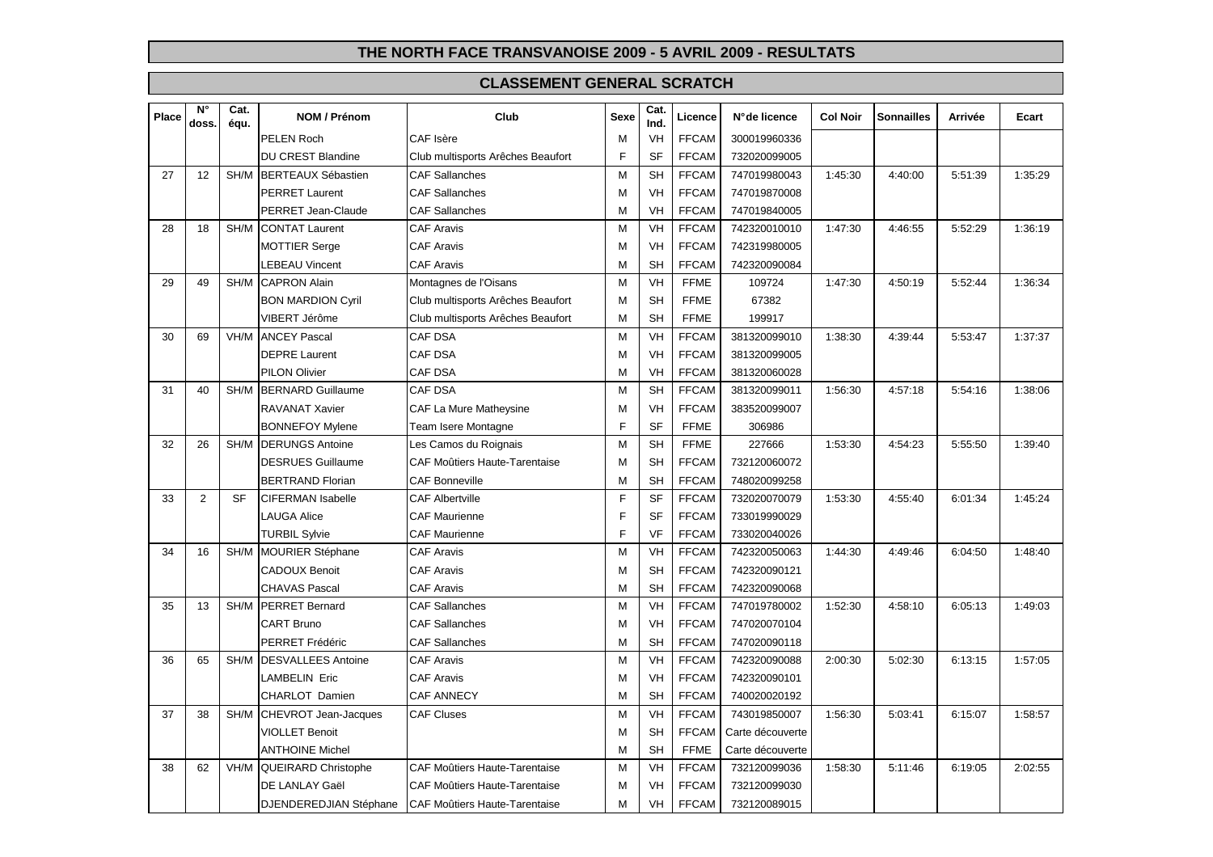| Place | $N^{\circ}$<br>doss. | Cat.<br>équ. | NOM / Prénom                | Club                                 | <b>Sexe</b> | Cat.<br>Ind. | Licence      | N°de licence     | <b>Col Noir</b> | <b>Sonnailles</b> | <b>Arrivée</b> | Ecart   |
|-------|----------------------|--------------|-----------------------------|--------------------------------------|-------------|--------------|--------------|------------------|-----------------|-------------------|----------------|---------|
|       |                      |              | <b>PELEN Roch</b>           | CAF Isère                            | М           | VH           | <b>FFCAM</b> | 300019960336     |                 |                   |                |         |
|       |                      |              | <b>DU CREST Blandine</b>    | Club multisports Arêches Beaufort    | F           | <b>SF</b>    | <b>FFCAM</b> | 732020099005     |                 |                   |                |         |
| 27    | 12                   | SH/M         | <b>BERTEAUX Sébastien</b>   | <b>CAF Sallanches</b>                | M           | <b>SH</b>    | <b>FFCAM</b> | 747019980043     | 1:45:30         | 4:40:00           | 5:51:39        | 1:35:29 |
|       |                      |              | <b>PERRET Laurent</b>       | <b>CAF Sallanches</b>                | M           | <b>VH</b>    | <b>FFCAM</b> | 747019870008     |                 |                   |                |         |
|       |                      |              | PERRET Jean-Claude          | <b>CAF Sallanches</b>                | М           | <b>VH</b>    | <b>FFCAM</b> | 747019840005     |                 |                   |                |         |
| 28    | 18                   | SH/M         | <b>CONTAT Laurent</b>       | CAF Aravis                           | M           | VH           | <b>FFCAM</b> | 742320010010     | 1:47:30         | 4:46:55           | 5:52:29        | 1:36:19 |
|       |                      |              | <b>MOTTIER Serge</b>        | <b>CAF Aravis</b>                    | М           | VH           | <b>FFCAM</b> | 742319980005     |                 |                   |                |         |
|       |                      |              | LEBEAU Vincent              | <b>CAF Aravis</b>                    | м           | <b>SH</b>    | <b>FFCAM</b> | 742320090084     |                 |                   |                |         |
| 29    | 49                   | SH/M         | <b>CAPRON Alain</b>         | Montagnes de l'Oisans                | M           | <b>VH</b>    | <b>FFME</b>  | 109724           | 1:47:30         | 4:50:19           | 5:52:44        | 1:36:34 |
|       |                      |              | <b>BON MARDION Cyril</b>    | Club multisports Arêches Beaufort    | М           | <b>SH</b>    | <b>FFME</b>  | 67382            |                 |                   |                |         |
|       |                      |              | VIBERT Jérôme               | Club multisports Arêches Beaufort    | М           | <b>SH</b>    | <b>FFME</b>  | 199917           |                 |                   |                |         |
| 30    | 69                   | VH/M         | <b>ANCEY Pascal</b>         | <b>CAF DSA</b>                       | M           | VH           | <b>FFCAM</b> | 381320099010     | 1:38:30         | 4:39:44           | 5:53:47        | 1:37:37 |
|       |                      |              | <b>DEPRE Laurent</b>        | CAF DSA                              | М           | <b>VH</b>    | <b>FFCAM</b> | 381320099005     |                 |                   |                |         |
|       |                      |              | <b>PILON Olivier</b>        | <b>CAF DSA</b>                       | М           | VH           | <b>FFCAM</b> | 381320060028     |                 |                   |                |         |
| 31    | 40                   | SH/M         | <b>BERNARD Guillaume</b>    | CAF DSA                              | M           | <b>SH</b>    | <b>FFCAM</b> | 381320099011     | 1:56:30         | 4:57:18           | 5:54:16        | 1:38:06 |
|       |                      |              | RAVANAT Xavier              | CAF La Mure Matheysine               | M           | VH           | <b>FFCAM</b> | 383520099007     |                 |                   |                |         |
|       |                      |              | <b>BONNEFOY Mylene</b>      | Team Isere Montagne                  | E           | <b>SF</b>    | <b>FFME</b>  | 306986           |                 |                   |                |         |
| 32    | 26                   | SH/M         | <b>DERUNGS Antoine</b>      | Les Camos du Roignais                | M           | <b>SH</b>    | <b>FFME</b>  | 227666           | 1:53:30         | 4:54:23           | 5:55:50        | 1:39:40 |
|       |                      |              | <b>DESRUES Guillaume</b>    | CAF Moûtiers Haute-Tarentaise        | M           | <b>SH</b>    | <b>FFCAM</b> | 732120060072     |                 |                   |                |         |
|       |                      |              | <b>BERTRAND Florian</b>     | <b>CAF Bonneville</b>                | M           | <b>SH</b>    | <b>FFCAM</b> | 748020099258     |                 |                   |                |         |
| 33    | $\overline{2}$       | <b>SF</b>    | <b>CIFERMAN Isabelle</b>    | <b>CAF Albertville</b>               | F           | <b>SF</b>    | <b>FFCAM</b> | 732020070079     | 1:53:30         | 4:55:40           | 6:01:34        | 1:45:24 |
|       |                      |              | <b>LAUGA Alice</b>          | <b>CAF Maurienne</b>                 | F           | <b>SF</b>    | <b>FFCAM</b> | 733019990029     |                 |                   |                |         |
|       |                      |              | <b>TURBIL Sylvie</b>        | <b>CAF Maurienne</b>                 | F           | VF           | <b>FFCAM</b> | 733020040026     |                 |                   |                |         |
| 34    | 16                   | SH/M         | <b>MOURIER Stéphane</b>     | <b>CAF Aravis</b>                    | M           | VH           | <b>FFCAM</b> | 742320050063     | 1:44:30         | 4:49:46           | 6:04:50        | 1:48:40 |
|       |                      |              | <b>CADOUX Benoit</b>        | <b>CAF Aravis</b>                    | м           | <b>SH</b>    | <b>FFCAM</b> | 742320090121     |                 |                   |                |         |
|       |                      |              | <b>CHAVAS Pascal</b>        | <b>CAF Aravis</b>                    | М           | <b>SH</b>    | <b>FFCAM</b> | 742320090068     |                 |                   |                |         |
| 35    | 13                   | SH/M         | <b>PERRET Bernard</b>       | <b>CAF Sallanches</b>                | M           | <b>VH</b>    | <b>FFCAM</b> | 747019780002     | 1:52:30         | 4:58:10           | 6:05:13        | 1:49:03 |
|       |                      |              | CART Bruno                  | <b>CAF Sallanches</b>                | М           | <b>VH</b>    | <b>FFCAM</b> | 747020070104     |                 |                   |                |         |
|       |                      |              | <b>PERRET Frédéric</b>      | <b>CAF Sallanches</b>                | М           | <b>SH</b>    | <b>FFCAM</b> | 747020090118     |                 |                   |                |         |
| 36    | 65                   | SH/M         | <b>DESVALLEES Antoine</b>   | <b>CAF Aravis</b>                    | M           | <b>VH</b>    | <b>FFCAM</b> | 742320090088     | 2:00:30         | 5:02:30           | 6:13:15        | 1:57:05 |
|       |                      |              | <b>LAMBELIN Eric</b>        | <b>CAF Aravis</b>                    | М           | <b>VH</b>    | <b>FFCAM</b> | 742320090101     |                 |                   |                |         |
|       |                      |              | CHARLOT Damien              | <b>CAF ANNECY</b>                    | М           | <b>SH</b>    | <b>FFCAM</b> | 740020020192     |                 |                   |                |         |
| 37    | 38                   | SH/M         | <b>CHEVROT Jean-Jacques</b> | <b>CAF Cluses</b>                    | M           | <b>VH</b>    | <b>FFCAM</b> | 743019850007     | 1:56:30         | 5:03:41           | 6:15:07        | 1:58:57 |
|       |                      |              | <b>VIOLLET Benoit</b>       |                                      | м           | <b>SH</b>    | <b>FFCAM</b> | Carte découverte |                 |                   |                |         |
|       |                      |              | <b>ANTHOINE Michel</b>      |                                      | М           | <b>SH</b>    | <b>FFME</b>  | Carte découverte |                 |                   |                |         |
| 38    | 62                   | VH/M         | <b>QUEIRARD Christophe</b>  | <b>CAF Moûtiers Haute-Tarentaise</b> | M           | <b>VH</b>    | <b>FFCAM</b> | 732120099036     | 1:58:30         | 5:11:46           | 6:19:05        | 2:02:55 |
|       |                      |              | DE LANLAY Gaël              | <b>CAF Moûtiers Haute-Tarentaise</b> | м           | VH           | <b>FFCAM</b> | 732120099030     |                 |                   |                |         |
|       |                      |              | DJENDEREDJIAN Stéphane      | CAF Moûtiers Haute-Tarentaise        | Μ           | VH           | <b>FFCAM</b> | 732120089015     |                 |                   |                |         |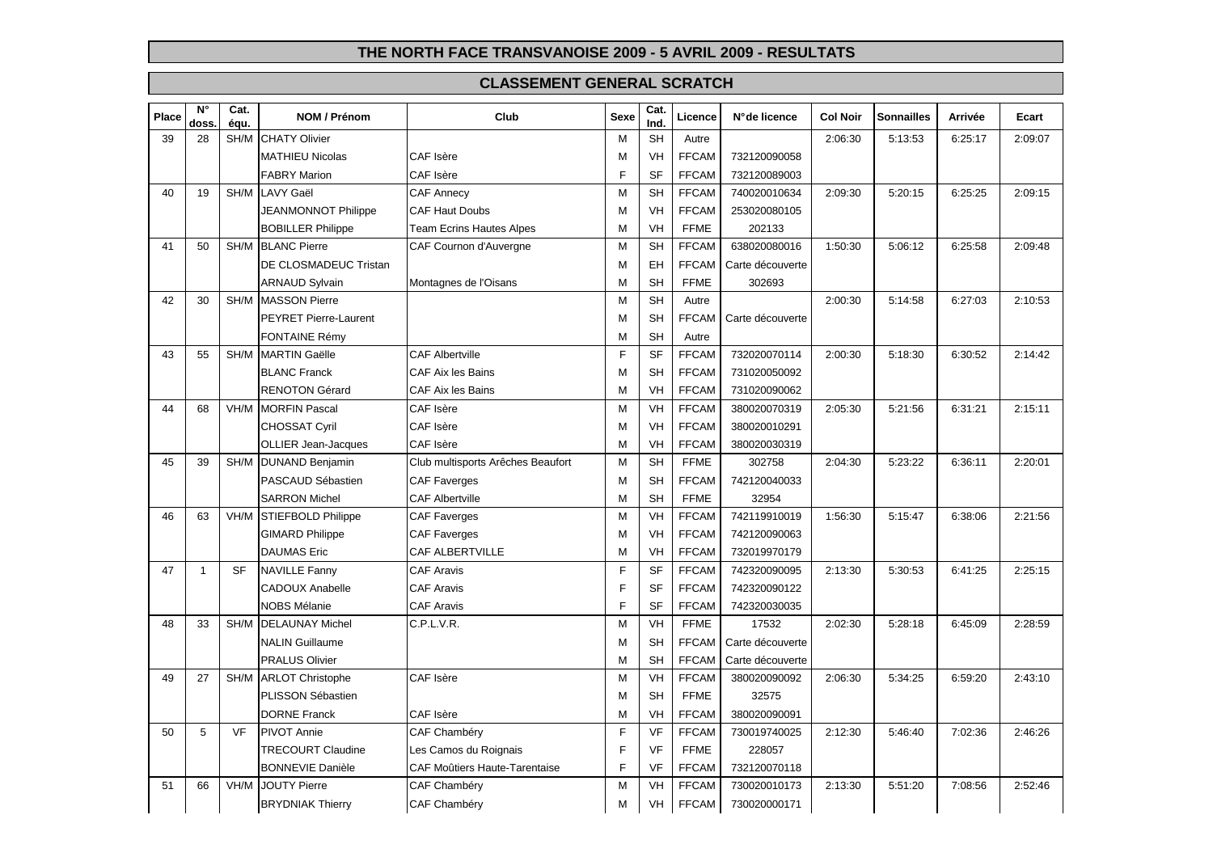| Place | $\overline{\mathsf{N}^\circ}$<br>doss. | Cat.<br>équ. | <b>NOM / Prénom</b>          | Club                                 | <b>Sexe</b> | Cat.<br>Ind. | Licence      | N° de licence    | <b>Col Noir</b> | <b>Sonnailles</b> | Arrivée | Ecart   |
|-------|----------------------------------------|--------------|------------------------------|--------------------------------------|-------------|--------------|--------------|------------------|-----------------|-------------------|---------|---------|
| 39    | 28                                     | SH/M         | <b>CHATY Olivier</b>         |                                      | M           | <b>SH</b>    | Autre        |                  | 2:06:30         | 5:13:53           | 6:25:17 | 2:09:07 |
|       |                                        |              | <b>MATHIEU Nicolas</b>       | CAF Isère                            | М           | VH           | <b>FFCAM</b> | 732120090058     |                 |                   |         |         |
|       |                                        |              | <b>FABRY Marion</b>          | CAF Isère                            | F           | <b>SF</b>    | <b>FFCAM</b> | 732120089003     |                 |                   |         |         |
| 40    | 19                                     | SH/M         | <b>LAVY Gaël</b>             | <b>CAF Annecy</b>                    | M           | <b>SH</b>    | <b>FFCAM</b> | 740020010634     | 2:09:30         | 5:20:15           | 6:25:25 | 2:09:15 |
|       |                                        |              | JEANMONNOT Philippe          | <b>CAF Haut Doubs</b>                | M           | <b>VH</b>    | <b>FFCAM</b> | 253020080105     |                 |                   |         |         |
|       |                                        |              | <b>BOBILLER Philippe</b>     | <b>Team Ecrins Hautes Alpes</b>      | M           | <b>VH</b>    | <b>FFME</b>  | 202133           |                 |                   |         |         |
| 41    | 50                                     | SH/M         | <b>BLANC Pierre</b>          | CAF Cournon d'Auvergne               | M           | <b>SH</b>    | <b>FFCAM</b> | 638020080016     | 1:50:30         | 5:06:12           | 6:25:58 | 2:09:48 |
|       |                                        |              | DE CLOSMADEUC Tristan        |                                      | M           | EH           | <b>FFCAM</b> | Carte découverte |                 |                   |         |         |
|       |                                        |              | <b>ARNAUD Sylvain</b>        | Montagnes de l'Oisans                | M           | <b>SH</b>    | <b>FFME</b>  | 302693           |                 |                   |         |         |
| 42    | 30                                     | SH/M         | <b>MASSON Pierre</b>         |                                      | M           | <b>SH</b>    | Autre        |                  | 2:00:30         | 5:14:58           | 6:27:03 | 2:10:53 |
|       |                                        |              | <b>PEYRET Pierre-Laurent</b> |                                      | M           | <b>SH</b>    | <b>FFCAM</b> | Carte découverte |                 |                   |         |         |
|       |                                        |              | <b>FONTAINE Rémy</b>         |                                      | M           | <b>SH</b>    | Autre        |                  |                 |                   |         |         |
| 43    | 55                                     | SH/M         | <b>MARTIN Gaëlle</b>         | <b>CAF Albertville</b>               | F           | <b>SF</b>    | <b>FFCAM</b> | 732020070114     | 2:00:30         | 5:18:30           | 6:30:52 | 2:14:42 |
|       |                                        |              | <b>BLANC Franck</b>          | <b>CAF Aix les Bains</b>             | M           | <b>SH</b>    | <b>FFCAM</b> | 731020050092     |                 |                   |         |         |
|       |                                        |              | <b>RENOTON Gérard</b>        | CAF Aix les Bains                    | M           | VH           | <b>FFCAM</b> | 731020090062     |                 |                   |         |         |
| 44    | 68                                     | VH/M         | <b>MORFIN Pascal</b>         | CAF Isère                            | M           | <b>VH</b>    | <b>FFCAM</b> | 380020070319     | 2:05:30         | 5:21:56           | 6:31:21 | 2:15:11 |
|       |                                        |              | <b>CHOSSAT Cyril</b>         | CAF Isère                            | M           | VH           | <b>FFCAM</b> | 380020010291     |                 |                   |         |         |
|       |                                        |              | <b>OLLIER Jean-Jacques</b>   | CAF Isère                            | M           | VH           | <b>FFCAM</b> | 380020030319     |                 |                   |         |         |
| 45    | 39                                     | SH/M         | <b>DUNAND Benjamin</b>       | Club multisports Arêches Beaufort    | M           | <b>SH</b>    | <b>FFME</b>  | 302758           | 2:04:30         | 5:23:22           | 6:36:11 | 2:20:01 |
|       |                                        |              | PASCAUD Sébastien            | <b>CAF Faverges</b>                  | M           | <b>SH</b>    | <b>FFCAM</b> | 742120040033     |                 |                   |         |         |
|       |                                        |              | <b>SARRON Michel</b>         | <b>CAF Albertville</b>               | M           | <b>SH</b>    | <b>FFME</b>  | 32954            |                 |                   |         |         |
| 46    | 63                                     | VH/M         | <b>STIEFBOLD Philippe</b>    | <b>CAF Faverges</b>                  | M           | <b>VH</b>    | <b>FFCAM</b> | 742119910019     | 1:56:30         | 5:15:47           | 6:38:06 | 2:21:56 |
|       |                                        |              | <b>GIMARD Philippe</b>       | <b>CAF Faverges</b>                  | M           | <b>VH</b>    | <b>FFCAM</b> | 742120090063     |                 |                   |         |         |
|       |                                        |              | <b>DAUMAS</b> Eric           | <b>CAF ALBERTVILLE</b>               | M           | VH           | <b>FFCAM</b> | 732019970179     |                 |                   |         |         |
| 47    | $\mathbf{1}$                           | <b>SF</b>    | <b>NAVILLE Fanny</b>         | <b>CAF Aravis</b>                    | F           | <b>SF</b>    | <b>FFCAM</b> | 742320090095     | 2:13:30         | 5:30:53           | 6:41:25 | 2:25:15 |
|       |                                        |              | <b>CADOUX Anabelle</b>       | <b>CAF Aravis</b>                    | F           | <b>SF</b>    | <b>FFCAM</b> | 742320090122     |                 |                   |         |         |
|       |                                        |              | <b>NOBS Mélanie</b>          | <b>CAF Aravis</b>                    | F           | <b>SF</b>    | <b>FFCAM</b> | 742320030035     |                 |                   |         |         |
| 48    | 33                                     | SH/M         | <b>DELAUNAY Michel</b>       | C.P.L.V.R.                           | M           | VH           | <b>FFME</b>  | 17532            | 2:02:30         | 5:28:18           | 6:45:09 | 2:28:59 |
|       |                                        |              | <b>NALIN Guillaume</b>       |                                      | М           | <b>SH</b>    | <b>FFCAM</b> | Carte découverte |                 |                   |         |         |
|       |                                        |              | <b>PRALUS Olivier</b>        |                                      | M           | <b>SH</b>    | <b>FFCAM</b> | Carte découverte |                 |                   |         |         |
| 49    | 27                                     | SH/M         | <b>ARLOT Christophe</b>      | CAF Isère                            | M           | <b>VH</b>    | <b>FFCAM</b> | 380020090092     | 2:06:30         | 5:34:25           | 6:59:20 | 2:43:10 |
|       |                                        |              | PLISSON Sébastien            |                                      | м           | <b>SH</b>    | <b>FFME</b>  | 32575            |                 |                   |         |         |
|       |                                        |              | <b>DORNE Franck</b>          | CAF Isère                            | M           | <b>VH</b>    | <b>FFCAM</b> | 380020090091     |                 |                   |         |         |
| 50    | 5                                      | VF           | <b>PIVOT Annie</b>           | CAF Chambéry                         | F           | <b>VF</b>    | <b>FFCAM</b> | 730019740025     | 2:12:30         | 5:46:40           | 7:02:36 | 2:46:26 |
|       |                                        |              | <b>TRECOURT Claudine</b>     | Les Camos du Roignais                | F           | <b>VF</b>    | <b>FFME</b>  | 228057           |                 |                   |         |         |
|       |                                        |              | <b>BONNEVIE Danièle</b>      | <b>CAF Moûtiers Haute-Tarentaise</b> | F           | VF           | <b>FFCAM</b> | 732120070118     |                 |                   |         |         |
| 51    | 66                                     | VH/M         | <b>JOUTY Pierre</b>          | CAF Chambéry                         | M           | VH           | <b>FFCAM</b> | 730020010173     | 2:13:30         | 5:51:20           | 7:08:56 | 2:52:46 |
|       |                                        |              | <b>BRYDNIAK Thierry</b>      | CAF Chambéry                         | М           | VH           | <b>FFCAM</b> | 730020000171     |                 |                   |         |         |